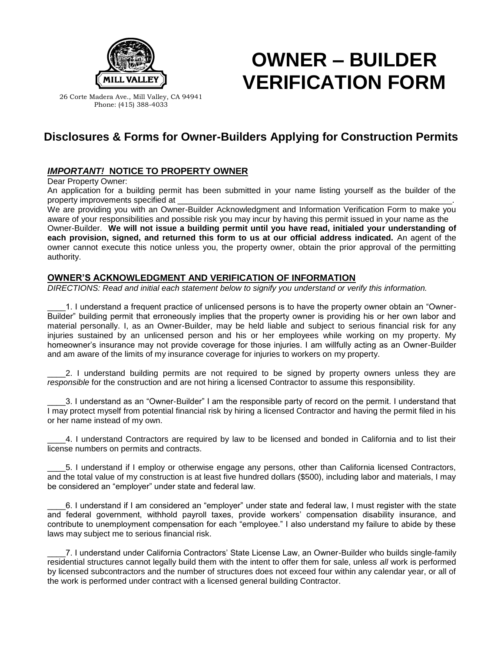

# **OWNER – BUILDER VERIFICATION FORM**

26 Corte Madera Ave., Mill Valley, CA 94941 Phone: (415) 388-4033

# **Disclosures & Forms for Owner-Builders Applying for Construction Permits**

## *IMPORTANT!* **NOTICE TO PROPERTY OWNER**

Dear Property Owner:

An application for a building permit has been submitted in your name listing yourself as the builder of the property improvements specified at

We are providing you with an Owner-Builder Acknowledgment and Information Verification Form to make you aware of your responsibilities and possible risk you may incur by having this permit issued in your name as the Owner-Builder. **We will not issue a building permit until you have read, initialed your understanding of each provision, signed, and returned this form to us at our official address indicated.** An agent of the owner cannot execute this notice unless you, the property owner, obtain the prior approval of the permitting authority.

### **OWNER'S ACKNOWLEDGMENT AND VERIFICATION OF INFORMATION**

*DIRECTIONS: Read and initial each statement below to signify you understand or verify this information.*

1. I understand a frequent practice of unlicensed persons is to have the property owner obtain an "Owner-Builder" building permit that erroneously implies that the property owner is providing his or her own labor and material personally. I, as an Owner-Builder, may be held liable and subject to serious financial risk for any injuries sustained by an unlicensed person and his or her employees while working on my property. My homeowner's insurance may not provide coverage for those injuries. I am willfully acting as an Owner-Builder and am aware of the limits of my insurance coverage for injuries to workers on my property.

2. I understand building permits are not required to be signed by property owners unless they are *responsible* for the construction and are not hiring a licensed Contractor to assume this responsibility.

\_\_\_\_3. I understand as an "Owner-Builder" I am the responsible party of record on the permit. I understand that I may protect myself from potential financial risk by hiring a licensed Contractor and having the permit filed in his or her name instead of my own.

\_\_\_\_4. I understand Contractors are required by law to be licensed and bonded in California and to list their license numbers on permits and contracts.

\_\_\_\_5. I understand if I employ or otherwise engage any persons, other than California licensed Contractors, and the total value of my construction is at least five hundred dollars (\$500), including labor and materials, I may be considered an "employer" under state and federal law.

\_\_\_\_6. I understand if I am considered an "employer" under state and federal law, I must register with the state and federal government, withhold payroll taxes, provide workers' compensation disability insurance, and contribute to unemployment compensation for each "employee." I also understand my failure to abide by these laws may subject me to serious financial risk.

\_\_\_\_7. I understand under California Contractors' State License Law, an Owner-Builder who builds single-family residential structures cannot legally build them with the intent to offer them for sale, unless *all* work is performed by licensed subcontractors and the number of structures does not exceed four within any calendar year, or all of the work is performed under contract with a licensed general building Contractor.